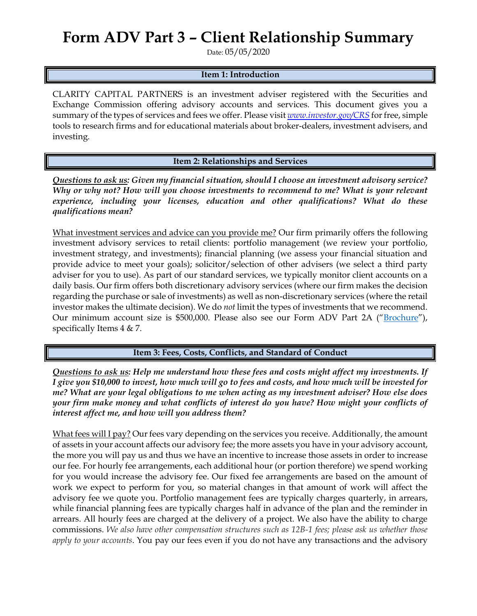## **Form ADV Part 3 – Client Relationship Summary**

Date: 05/05/2020

## **Item 1: Introduction**

CLARITY CAPITAL PARTNERS is an investment adviser registered with the Securities and Exchange Commission offering advisory accounts and services. This document gives you a summary of the types of services and fees we offer. Please visit *[www.investor.gov/CRS](http://www.investor.gov/CRS)* for free, simple tools to research firms and for educational materials about broker-dealers, investment advisers, and investing.

**Item 2: Relationships and Services**

*Questions to ask us: Given my financial situation, should I choose an investment advisory service? Why or why not? How will you choose investments to recommend to me? What is your relevant*  experience, including your licenses, education and other qualifications? What do these *qualifications mean?*

What investment services and advice can you provide me? Our firm primarily offers the following investment advisory services to retail clients: portfolio management (we review your portfolio, investment strategy, and investments); financial planning (we assess your financial situation and provide advice to meet your goals); solicitor/selection of other advisers (we select a third party adviser for you to use). As part of our standard services, we typically monitor client accounts on a daily basis. Our firm offers both discretionary advisory services (where our firm makes the decision regarding the purchase or sale of investments) as well as non-discretionary services (where the retail investor makes the ultimate decision). We do *not* limit the types of investments that we recommend. Our minimum account size is \$500,000. Please also see our Form ADV Part 2A ("[Brochure](https://adviserinfo.sec.gov/firm/summary/129898)"), specifically Items 4 & 7.

**Item 3: Fees, Costs, Conflicts, and Standard of Conduct** 

*Questions to ask us: Help me understand how these fees and costs might affect my investments. If I give you \$10,000 to invest, how much will go to fees and costs, and how much will be invested for me? What are your legal obligations to me when acting as my investment adviser? How else does your firm make money and what conflicts of interest do you have? How might your conflicts of interest affect me, and how will you address them?* 

What fees will I pay? Our fees vary depending on the services you receive. Additionally, the amount of assets in your account affects our advisory fee; the more assets you have in your advisory account, the more you will pay us and thus we have an incentive to increase those assets in order to increase our fee. For hourly fee arrangements, each additional hour (or portion therefore) we spend working for you would increase the advisory fee. Our fixed fee arrangements are based on the amount of work we expect to perform for you, so material changes in that amount of work will affect the advisory fee we quote you. Portfolio management fees are typically charges quarterly, in arrears, while financial planning fees are typically charges half in advance of the plan and the reminder in arrears. All hourly fees are charged at the delivery of a project. We also have the ability to charge commissions. *We also have other compensation structures such as 12B-1 fees; please ask us whether those apply to your accounts*. You pay our fees even if you do not have any transactions and the advisory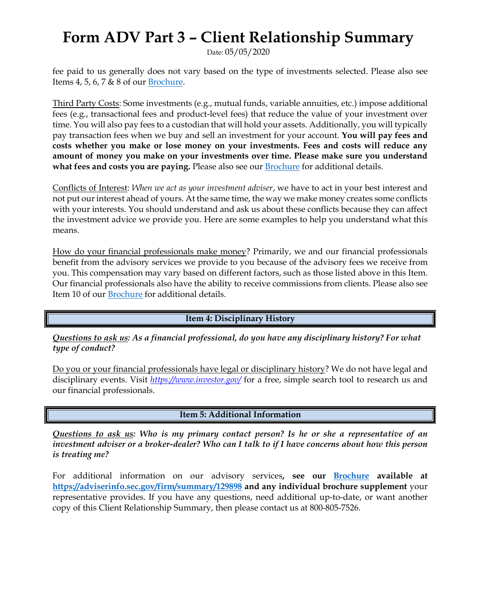## **Form ADV Part 3 – Client Relationship Summary**

Date: 05/05/2020

fee paid to us generally does not vary based on the type of investments selected. Please also see Items 4, 5, 6, 7 & 8 of our [Brochure.](https://adviserinfo.sec.gov/firm/summary/129898)

Third Party Costs: Some investments (e.g., mutual funds, variable annuities, etc.) impose additional fees (e.g., transactional fees and product-level fees) that reduce the value of your investment over time. You will also pay fees to a custodian that will hold your assets. Additionally, you will typically pay transaction fees when we buy and sell an investment for your account. **You will pay fees and costs whether you make or lose money on your investments. Fees and costs will reduce any amount of money you make on your investments over time. Please make sure you understand**  what fees and costs you are paying. Please also see our **[Brochure](https://adviserinfo.sec.gov/firm/summary/129898)** for additional details.

Conflicts of Interest: *When we act as your investment adviser*, we have to act in your best interest and not put our interest ahead of yours. At the same time, the way we make money creates some conflicts with your interests. You should understand and ask us about these conflicts because they can affect the investment advice we provide you. Here are some examples to help you understand what this means.

How do your financial professionals make money? Primarily, we and our financial professionals benefit from the advisory services we provide to you because of the advisory fees we receive from you. This compensation may vary based on different factors, such as those listed above in this Item. Our financial professionals also have the ability to receive commissions from clients. Please also see Item 10 of our [Brochure](https://adviserinfo.sec.gov/firm/summary/129898) for additional details.

**Item 4: Disciplinary History**

*Questions to ask us: As a financial professional, do you have any disciplinary history? For what type of conduct?*

Do you or your financial professionals have legal or disciplinary history? We do not have legal and disciplinary events. Visit *<https://www.investor.gov/>* for a free, simple search tool to research us and our financial professionals.

**Item 5: Additional Information**

*Questions to ask us: Who is my primary contact person? Is he or she a representative of an investment adviser or a broker-dealer? Who can I talk to if I have concerns about how this person is treating me?*

For additional information on our advisory services**, see our [Brochure](https://adviserinfo.sec.gov/firm/summary/129898) available at <https://adviserinfo.sec.gov/firm/summary/129898> and any individual brochure supplement** your representative provides. If you have any questions, need additional up-to-date, or want another copy of this Client Relationship Summary, then please contact us at 800-805-7526.